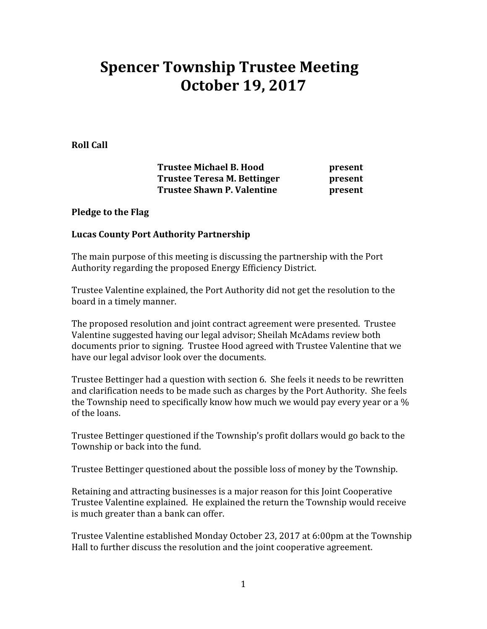# Spencer Township Trustee Meeting October 19, 2017

Roll Call

Trustee Michael B. Hood **present** Trustee Teresa M. Bettinger **present** Trustee Shawn P. Valentine **present** 

#### Pledge to the Flag

### Lucas County Port Authority Partnership

The main purpose of this meeting is discussing the partnership with the Port Authority regarding the proposed Energy Efficiency District.

Trustee Valentine explained, the Port Authority did not get the resolution to the board in a timely manner.

The proposed resolution and joint contract agreement were presented. Trustee Valentine suggested having our legal advisor; Sheilah McAdams review both documents prior to signing. Trustee Hood agreed with Trustee Valentine that we have our legal advisor look over the documents.

Trustee Bettinger had a question with section 6. She feels it needs to be rewritten and clarification needs to be made such as charges by the Port Authority. She feels the Township need to specifically know how much we would pay every year or a % of the loans.

Trustee Bettinger questioned if the Township's profit dollars would go back to the Township or back into the fund.

Trustee Bettinger questioned about the possible loss of money by the Township.

Retaining and attracting businesses is a major reason for this Joint Cooperative Trustee Valentine explained. He explained the return the Township would receive is much greater than a bank can offer.

Trustee Valentine established Monday October 23, 2017 at 6:00pm at the Township Hall to further discuss the resolution and the joint cooperative agreement.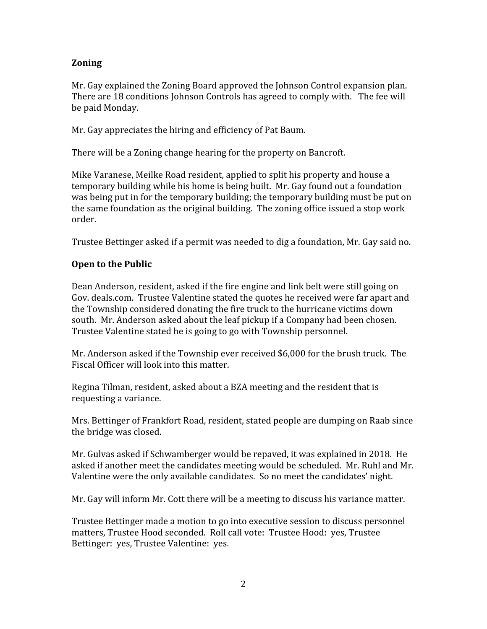## Zoning

Mr. Gay explained the Zoning Board approved the Johnson Control expansion plan. There are 18 conditions Johnson Controls has agreed to comply with. The fee will be paid Monday.

Mr. Gay appreciates the hiring and efficiency of Pat Baum.

There will be a Zoning change hearing for the property on Bancroft.

Mike Varanese, Meilke Road resident, applied to split his property and house a temporary building while his home is being built. Mr. Gay found out a foundation was being put in for the temporary building; the temporary building must be put on the same foundation as the original building. The zoning office issued a stop work order.

Trustee Bettinger asked if a permit was needed to dig a foundation, Mr. Gay said no.

## Open to the Public

Dean Anderson, resident, asked if the fire engine and link belt were still going on Gov. deals.com. Trustee Valentine stated the quotes he received were far apart and the Township considered donating the fire truck to the hurricane victims down south. Mr. Anderson asked about the leaf pickup if a Company had been chosen. Trustee Valentine stated he is going to go with Township personnel.

Mr. Anderson asked if the Township ever received \$6,000 for the brush truck. The Fiscal Officer will look into this matter.

Regina Tilman, resident, asked about a BZA meeting and the resident that is requesting a variance.

Mrs. Bettinger of Frankfort Road, resident, stated people are dumping on Raab since the bridge was closed.

Mr. Gulvas asked if Schwamberger would be repaved, it was explained in 2018. He asked if another meet the candidates meeting would be scheduled. Mr. Ruhl and Mr. Valentine were the only available candidates. So no meet the candidates' night.

Mr. Gay will inform Mr. Cott there will be a meeting to discuss his variance matter.

Trustee Bettinger made a motion to go into executive session to discuss personnel matters, Trustee Hood seconded. Roll call vote: Trustee Hood: yes, Trustee Bettinger: yes, Trustee Valentine: yes.